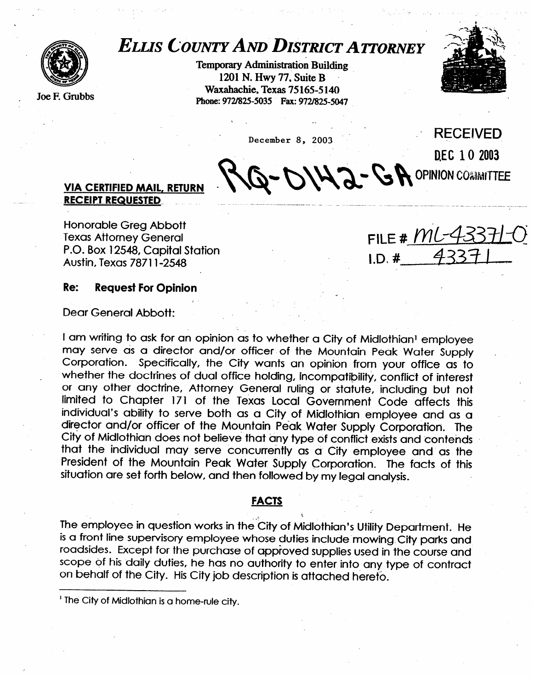

Joe F. Grubbs

# *ELUS COUNTYAND DISTRICTATTORNEY*

**Temporay Administration Building 1201 N. Hwy 77, Suite B Waxahachie, Texas 75 165-5 140**  Phone: 972/825-5035 Fax: 972/825-5047



December 8, 2003

,

DEC 10 2003 - DIH2 - GA OPINION COMMITTEE

**RECEIVED** 

# **VIA CERTIFIED MAIL, RETURN RECEIPT.REQlJES~ED.- - /-.-.~.. \_ ---- \_----.\_ \_ \_ \_\_\_\_\_.\_ .-... ---- --.--. ~. ..--- .-----.-\_-.-.---.\_**

Honorable Greg Abbott P.O. Box 12548. Capital Station P.O. Box 12548, Capital Station  $707172970$ 

 $FILE # MLA$  $I.D. #.$ 

#### **Re: Request For Opinion**

Dear General Abbott:

I am writing to ask for an opinion as to whether a City of Midlothian<sup>1</sup> employee may serve as a director and/or officer of the Mountain Peak Water Supply Corporation. Specifically, the City wants an opinion from your office as to whether the doctrines of dual office holding, incompatibility, conflict of interest or any other doctrine, Attorney General ruling or statute, including but not limited to Chapter 171 of the Texas Local Government Code affects this individual's ability to serve both as a City of Midlothian employee and as a director and/or officer of the Mountain Peak Water Supply Corporation. The City of Midlothian does not believe that any type of conflict exists and contends that the individual may serve concurrently as a City employee and as the President of the Mountain Peak Water Supply Corporation. The facts of this  $\frac{1}{2}$  is the Mountain  $\frac{1}{2}$  of the Mountain  $\frac{1}{2}$  is the fact of the facts of this supply conduction. The set forth below and then followed by my lead analysis  $s_{\rm s}$  is forth by my legal and then follows  $\frac{1}{2}$ 

#### **FACTS FACTS**

The employee in question works in the City of Midlothian's Utility Department. He<br>is a front line supervisory employee whose duties include mowing City parks and roadsides. Except for the purchase of approved supplies used in the course and scope of his daily duties, he has no authority to enter into any type of contract on behalf of the City. His City job description is attached hereto.

on behalf of the City. His City, description is at the City. His City, description is at the City of the City i<br>The City of the City is attached here to be a strong of the City of the City of the City of the City of the Ci

<sup>&</sup>lt;sup>1</sup> The City of Midlothian is a home-rule city.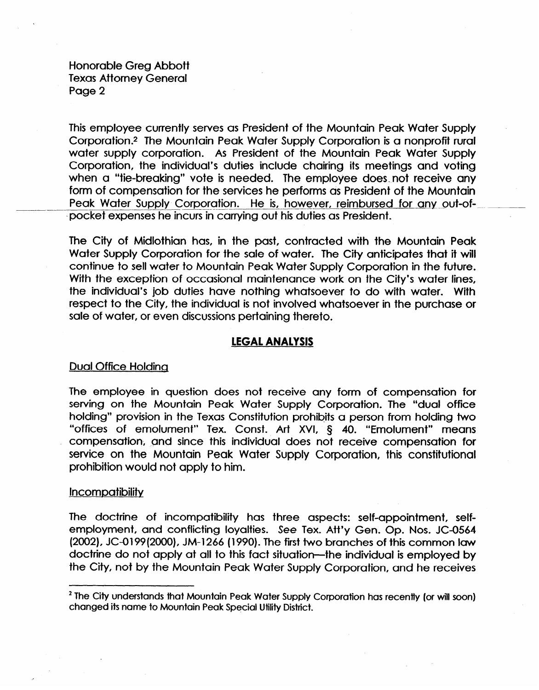Honorable Greg Abbott Texas Attorney General Page 2

This employee currently serves as President of the Mountain Peak Water Supply Corporation .\* The Mountain Peak Water Supply Corporation is a nonprofit rural water supply corporation. As President of the Mountain Peak Water Supply Corporation, the individual's duties include chairing its meetings and voting when a "tie-breaking" vote is needed. The employee does. not receive any form of compensation for the services he performs as President of the Mountain Peak Water Supply Corporation. He is, however, reimbursed for any out-ofpocket expenses he incurs in carrying out his duties as President.

The City of Midlothian has, in the past, contracted with the Mountain Peak Water Supply Corporation for the sale of water. The City anticipates that it will continue to sell water to Mountain Peak Water Supply Corporation in the future. With the exception of occasional maintenance work on the City's water lines, the individual's job duties have nothing whatsoever to do with water. With respect to the City, the individual is not involved whatsoever in the purchase or sale of water, or even discussions pertaining thereto.

# **LEGAL ANALYSIS**

# Dual Office Holding

The employee in question does not receive any form of compensation for serving on the Mountain Peak Water Supply Corporation. The "dual office holding" provision in the Texas Constitution prohibits a person from holding two "offices of emolument" Tex. Const. Art XVI, § 40. "Emolument" means compensation; and since this individual does not receive compensation for service on the Mountain Peak Water Supply Corporation, this constitutional prohibition would not apply to him.

# **Incompatibility**

The doctrine of incompatibility has three aspects: self-appointment, selfemployment, and conflicting loyalties. See Tex. Att'y Gen. Op. Nos. JC-0564 (2002), JC-O199(2000), JM-1266 (1990). The first two branches of this common law doctrine do not apply at all to this fact situation—the individual is employed by the City, not by the Mountain Peak Water Supply Corporation, and he receives

**<sup>\*</sup> The City understands that Mountain Peak Water Supply Corporation has recentiy (or will soon) changed its name to Mountain Peak Special Utility District.**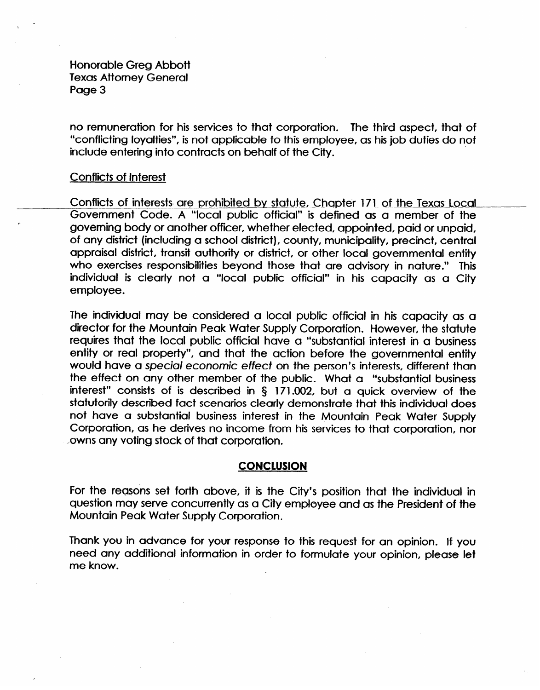Honorable Greg Abbott Texas Attorney General Page 3

no remuneration for his services to that corporation. The third aspect, that of "conflicting loyalties", is not applicable to this employee, as his job duties do not include entering into contracts on behalf of the City.

# Conflicts of Interest

r

Conflicts of interests are prohibited by statute, Chapter 171 of the Texas Local Government Code. A "local public official" is defined as a member of the governing body or another officer, whether elected, appointed, paid or unpaid, of any district (including a school district), county, municipality, precinct, central appraisal district, transit authority or district, or other local governmental entity who exercises responsibilities beyond those that are advisory in nature." This individual is clearly not a "local public official" in his capacity as a City employee.

The individual may be considered a local public official in his capacity as a director for the Mountain Peak Water Supply Corporation, However, the statute requires that the local public official have a "substantial interest in a business entity or real property", and that the action before the governmental entity would have a special *economic* effect on the person's interests, different than the effect on any other member of the public. What a "substantial business interest" consists of is described in 5 171.002, but a quick overview of the statutorily described fact scenarios clearly demonstrate that this individual does not have a substantial business interest in the Mountain Peak Water Supply Corporation, as he derives no income from his services to that corporation, nor ..owns any voting stock of that corporation.

# **CONCLUSION**

For the reasons set forth above, it is the City's position that the individual in question may serve concurrently as a City employee and as the President of the Mountain Peak Water Supply Corporation.

Thank you in advance for your response to this request for an opinion. If you need any additional information in order to formulate your opinion, please let me know.